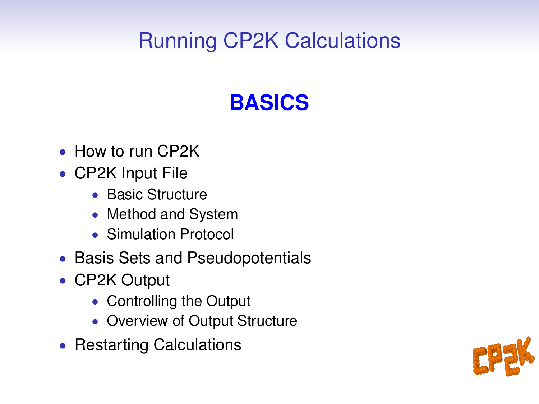# Running CP2K Calculations

## **BASICS**

- How to run CP2K
- CP2K Input File
	- Basic Structure
	- Method and System
	- Simulation Protocol
- Basis Sets and Pseudopotentials
- CP2K Output
	- Controlling the Output
	- Overview of Output Structure
- Restarting Calculations

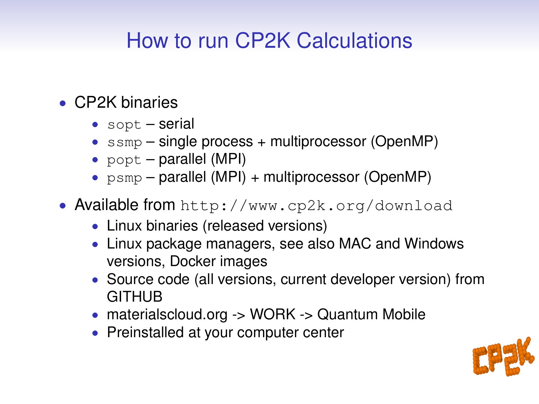## How to run CP2K Calculations

#### • CP2K binaries

- sopt serial
- ssmp single process + multiprocessor (OpenMP)
- $\bullet$  popt parallel (MPI)
- $psmp -$  parallel (MPI) + multiprocessor (OpenMP)
- Available from http://www.cp2k.org/download
	- Linux binaries (released versions)
	- Linux package managers, see also MAC and Windows versions, Docker images
	- Source code (all versions, current developer version) from **GITHUB**
	- materialscloud.org -> WORK -> Quantum Mobile
	- Preinstalled at your computer center

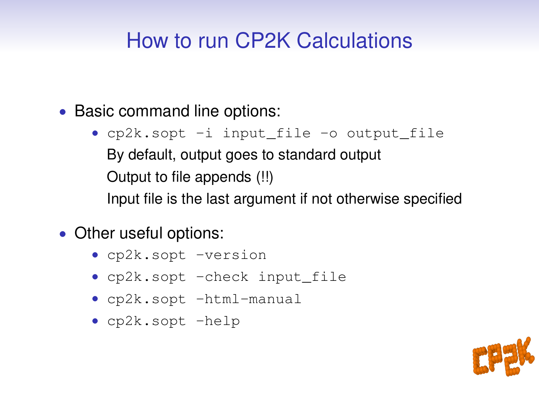## How to run CP2K Calculations

- Basic command line options:
	- cp2k.sopt -i input file -o output file By default, output goes to standard output Output to file appends (!!) Input file is the last argument if not otherwise specified
- Other useful options:
	- cp2k.sopt -version
	- cp2k.sopt -check input\_file
	- cp2k.sopt -html-manual
	- cp2k.sopt -help

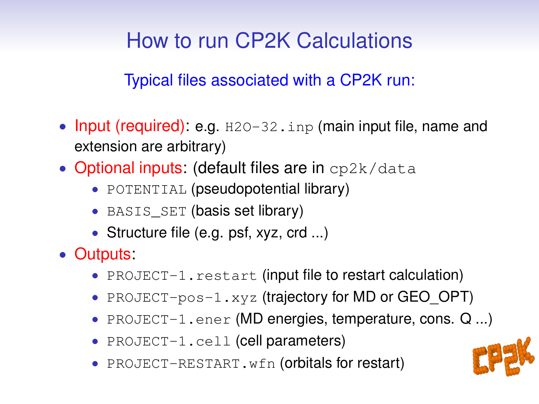How to run CP2K Calculations

Typical files associated with a CP2K run:

- Input (required): e.g. H2O-32.inp (main input file, name and extension are arbitrary)
- Optional inputs: (default files are in  $cp2k/data$ 
	- POTENTIAL (pseudopotential library)
	- BASIS\_SET (basis set library)
	- Structure file (e.g. psf, xyz, crd ...)
- Outputs:
	- PROJECT-1. restart (input file to restart calculation)
	- PROJECT-pos-1.xyz (trajectory for MD or GEO OPT)
	- PROJECT-1.ener (MD energies, temperature, cons. Q ...)
	- PROJECT-1.cell (cell parameters)
	- PROJECT-RESTART.wfn (orbitals for restart)

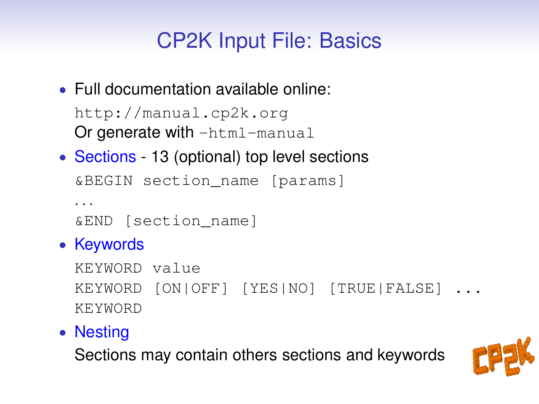# CP2K Input File: Basics

• Full documentation available online:

http://manual.cp2k.org Or generate with -html-manual

• Sections 13 (optional) top level sections

&BEGIN section\_name [params]

. . .

&END [section\_name]

• Keywords

KEYWORD value KEYWORD [ON|OFF] [YES|NO] [TRUE|FALSE] ... KEYWORD

### • Nesting

Sections may contain others sections and keywords

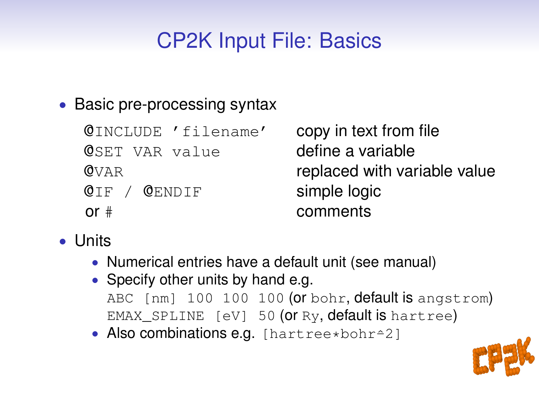# CP2K Input File: Basics

#### • Basic pre-processing syntax

@INCLUDE 'filename' copy in text from file @SET VAR value define a variable QIF / QENDIF simple logic or # comments

**COVAR replaced with variable value** 

- Units
	- Numerical entries have a default unit (see manual)
	- Specify other units by hand e.g. ABC [nm] 100 100 100 (or bohr, default is angstrom) EMAX SPLINE  $[eV]$  50 (or Ry, default is hartree)
	- Also combinations e.g. [hartree\*bohr<sup>2]</sup>

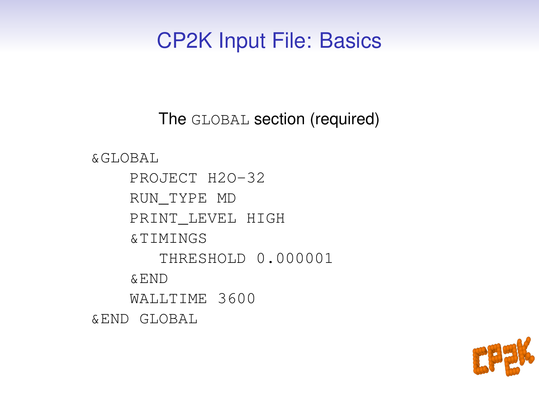## CP2K Input File: Basics

The GLOBAL section (required)

&GLOBAL

PROJECT H2O-32 RUN\_TYPE MD PRINT\_LEVEL HIGH &TIMINGS THRESHOLD 0.000001

&END

WALLTIME 3600

&END GLOBAL

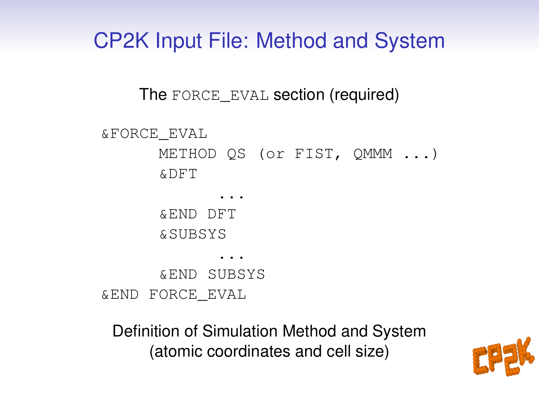## CP2K Input File: Method and System

The FORCE EVAL section (required)

&FORCE\_EVAL METHOD QS (or FIST, QMMM ...) &DFT

> &END DFT &SUBSYS

...

...

&END SUBSYS &END FORCE\_EVAL

Definition of Simulation Method and System (atomic coordinates and cell size)

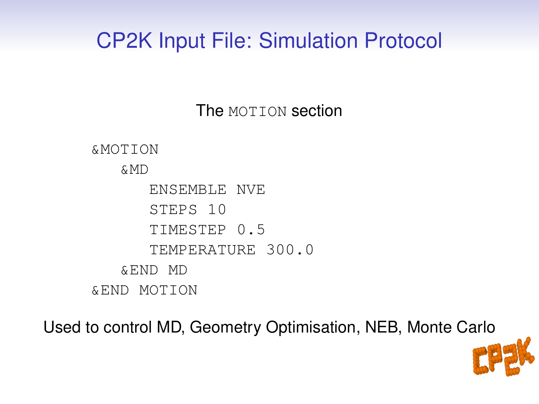## CP2K Input File: Simulation Protocol

The MOTTON section

&MOTION &MD ENSEMBLE NVE STEPS 10 TIMESTEP 0.5 TEMPERATURE 300.0 &END MD &END MOTION

Used to control MD, Geometry Optimisation, NEB, Monte Carlo

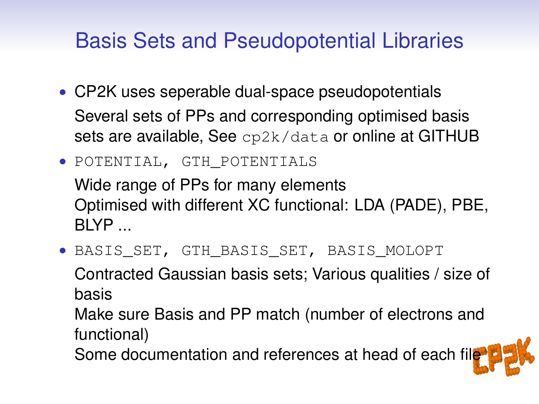## Basis Sets and Pseudopotential Libraries

- CP2K uses seperable dual-space pseudopotentials Several sets of PPs and corresponding optimised basis sets are available, See cp2k/data or online at GITHUB
- POTENTIAL, GTH\_POTENTIALS

Wide range of PPs for many elements Optimised with different XC functional: LDA (PADE), PBE, BLYP ...

• BASIS\_SET, GTH\_BASIS\_SET, BASIS\_MOLOPT

Contracted Gaussian basis sets; Various qualities / size of basis

Make sure Basis and PP match (number of electrons and functional)

Some documentation and references at head of each file

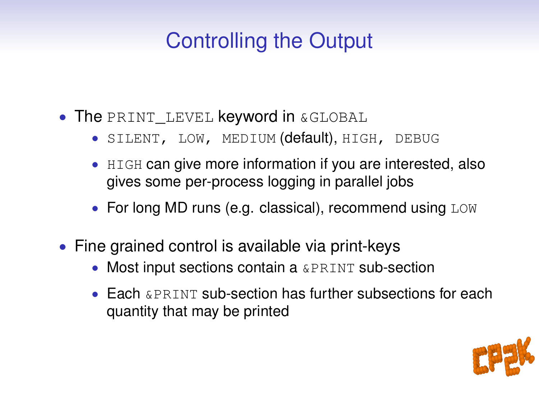# Controlling the Output

- The PRINT\_LEVEL keyword in &GLOBAL
	- SILENT, LOW, MEDIUM (default), HIGH, DEBUG
	- HIGH can give more information if you are interested, also gives some per-process logging in parallel jobs
	- For long MD runs (e.g. classical), recommend using LOW
- Fine grained control is available via print-keys
	- Most input sections contain a **&PRINT** sub-section
	- Each **&PRINT** sub-section has further subsections for each quantity that may be printed

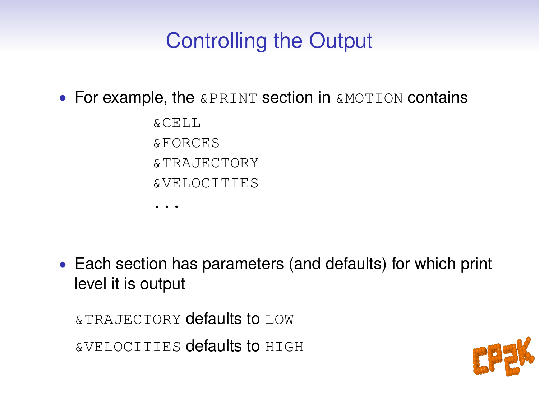## Controlling the Output

- For example, the *&PRINT* section in *&MOTION* contains
	- $CET.T.$ &FORCES &TRAJECTORY &VELOCITIES ...

• Each section has parameters (and defaults) for which print level it is output

&TRAJECTORY defaults to LOW

&VELOCITIES defaults to HIGH

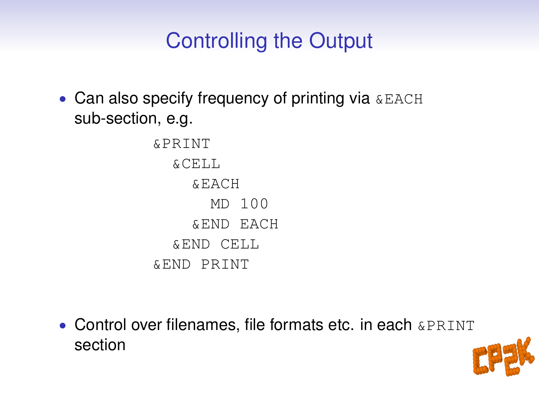## Controlling the Output

• Can also specify frequency of printing via &EACH sub-section, e.g.

> &PRINT &CELL &EACH MD 100 &END EACH &END CELL &END PRINT

• Control over filenames, file formats etc. in each &PRINT section